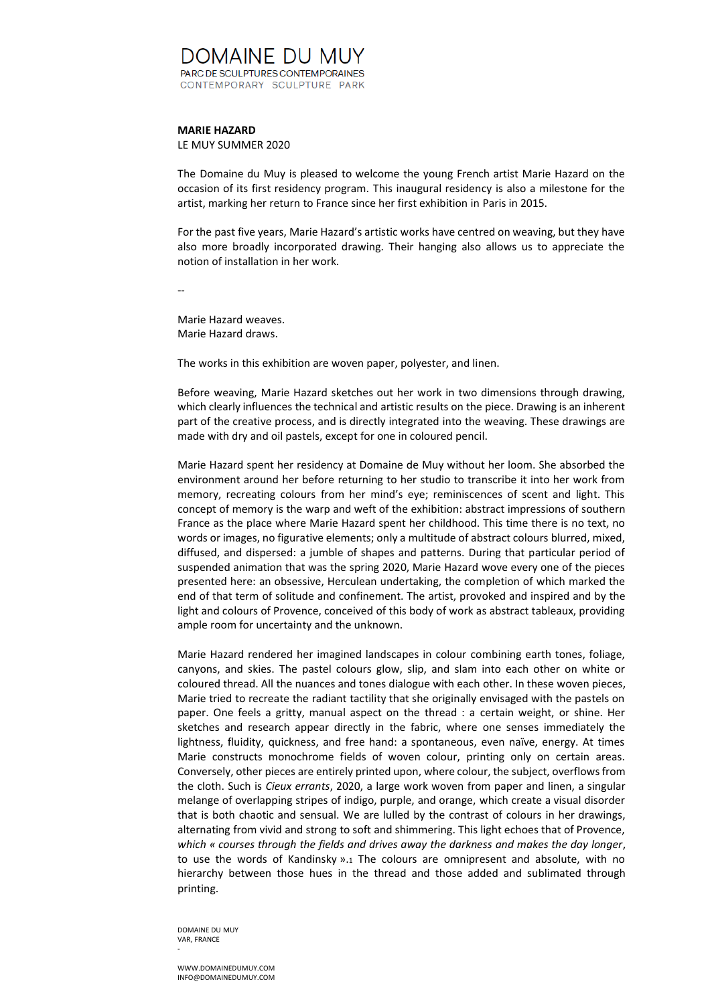## DOMAINE DU MUY PARC DE SCULPTURES CONTEMPORAINES CONTEMPORARY SCULPTURE PARK

## **MARIE HAZARD**

LE MUY SUMMER 2020

The Domaine du Muy is pleased to welcome the young French artist Marie Hazard on the occasion of its first residency program. This inaugural residency is also a milestone for the artist, marking her return to France since her first exhibition in Paris in 2015.

For the past five years, Marie Hazard's artistic works have centred on weaving, but they have also more broadly incorporated drawing. Their hanging also allows us to appreciate the notion of installation in her work.

--

Marie Hazard weaves. Marie Hazard draws.

The works in this exhibition are woven paper, polyester, and linen.

Before weaving, Marie Hazard sketches out her work in two dimensions through drawing, which clearly influences the technical and artistic results on the piece. Drawing is an inherent part of the creative process, and is directly integrated into the weaving. These drawings are made with dry and oil pastels, except for one in coloured pencil.

Marie Hazard spent her residency at Domaine de Muy without her loom. She absorbed the environment around her before returning to her studio to transcribe it into her work from memory, recreating colours from her mind's eye; reminiscences of scent and light. This concept of memory is the warp and weft of the exhibition: abstract impressions of southern France as the place where Marie Hazard spent her childhood. This time there is no text, no words or images, no figurative elements; only a multitude of abstract colours blurred, mixed, diffused, and dispersed: a jumble of shapes and patterns. During that particular period of suspended animation that was the spring 2020, Marie Hazard wove every one of the pieces presented here: an obsessive, Herculean undertaking, the completion of which marked the end of that term of solitude and confinement. The artist, provoked and inspired and by the light and colours of Provence, conceived of this body of work as abstract tableaux, providing ample room for uncertainty and the unknown.

Marie Hazard rendered her imagined landscapes in colour combining earth tones, foliage, canyons, and skies. The pastel colours glow, slip, and slam into each other on white or coloured thread. All the nuances and tones dialogue with each other. In these woven pieces, Marie tried to recreate the radiant tactility that she originally envisaged with the pastels on paper. One feels a gritty, manual aspect on the thread : a certain weight, or shine. Her sketches and research appear directly in the fabric, where one senses immediately the lightness, fluidity, quickness, and free hand: a spontaneous, even naïve, energy. At times Marie constructs monochrome fields of woven colour, printing only on certain areas. Conversely, other pieces are entirely printed upon, where colour, the subject, overflows from the cloth. Such is *Cieux errants*, 2020, a large work woven from paper and linen, a singular melange of overlapping stripes of indigo, purple, and orange, which create a visual disorder that is both chaotic and sensual. We are lulled by the contrast of colours in her drawings, alternating from vivid and strong to soft and shimmering. This light echoes that of Provence, *which « courses through the fields and drives away the darkness and makes the day longer*, to use the words of Kandinsky ».<sup>1</sup> The colours are omnipresent and absolute, with no hierarchy between those hues in the thread and those added and sublimated through printing.

DOMAINE DU MUY VAR, FRANCE -